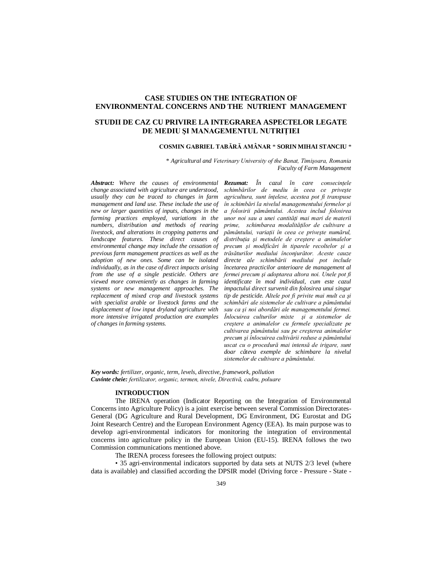# **CASE STUDIES ON THE INTEGRATION OF ENVIRONMENTAL CONCERNS AND THE NUTRIENT MANAGEMENT**

# **STUDII DE CAZ CU PRIVIRE LA INTEGRAREA ASPECTELOR LEGATE DE MEDIU ŞI MANAGEMENTUL NUTRIŢIEI**

## **COSMIN GABRIEL TABĂRĂ AMÂNAR** \* **SORIN MIHAI STANCIU** \*

\* *Agricultural and Veterinary University of the Banat, Timişoara, Romania Faculty of Farm Management*

*Abstract: Where the causes of environmental change associated with agriculture are understood, usually they can be traced to changes in farm management and land use. These include the use of new or larger quantities of inputs, changes in the farming practices employed, variations in the numbers, distribution and methods of rearing livestock, and alterations in cropping patterns and landscape features. These direct causes of environmental change may include the cessation of previous farm management practices as well as the adoption of new ones. Some can be isolated individually, as in the case of direct impacts arising from the use of a single pesticide. Others are viewed more conveniently as changes in farming systems or new management approaches. The replacement of mixed crop and livestock systems with specialist arable or livestock farms and the displacement of low input dryland agriculture with more intensive irrigated production are examples of changes in farming systems.* 

*Rezumat: În cazul în care consecinţele schimbărilor de mediu în ceea ce priveşte agricultura, sunt înţelese, acestea pot fi transpuse în schimbări la nivelul managementului fermelor şi a folosirii pământului. Acestea includ folosirea unor noi sau a unei cantităţi mai mari de materii prime, schimbarea modalităţilor de cultivare a pământului, variaţii în ceea ce priveşte numărul, distribuţia şi metodele de creştere a animalelor precum şi modificări în tiparele recoltelor şi a trăsăturilor mediului înconjurător. Aceste cauze directe ale schimbării mediului pot include încetarea practicilor anterioare de management al fermei precum şi adoptarea altora noi. Unele pot fi identificate în mod individual, cum este cazul impactului direct survenit din folosirea unui singur tip de pesticide. Altele pot fi privite mai mult ca şi schimbări ale sistemelor de cultivare a pământului sau ca şi noi abordări ale managementului fermei. Înlocuirea culturilor mixte şi a sistemelor de creştere a animalelor cu fermele specializate pe cultivarea pământului sau pe creşterea animalelor precum şi înlocuirea cultivării reduse a pământului uscat cu o procedură mai intensă de irigare, sunt doar câteva exemple de schimbare la nivelul sistemelor de cultivare a pământului.*

*Key words: fertilizer, organic, term, levels, directive, framework, pollution Cuvinte cheie: fertilizator, organic, termen, nivele, Directivă, cadru, poluare*

## **INTRODUCTION**

The IRENA operation (Indicator Reporting on the Integration of Environmental Concerns into Agriculture Policy) is a joint exercise between several Commission Directorates-General (DG Agriculture and Rural Development, DG Environment, DG Eurostat and DG Joint Research Centre) and the European Environment Agency (EEA). Its main purpose was to develop agri-environmental indicators for monitoring the integration of environmental concerns into agriculture policy in the European Union (EU-15). IRENA follows the two Commission communications mentioned above.

The IRENA process foresees the following project outputs:

• 35 agri-environmental indicators supported by data sets at NUTS 2/3 level (where data is available) and classified according the DPSIR model (Driving force - Pressure - State -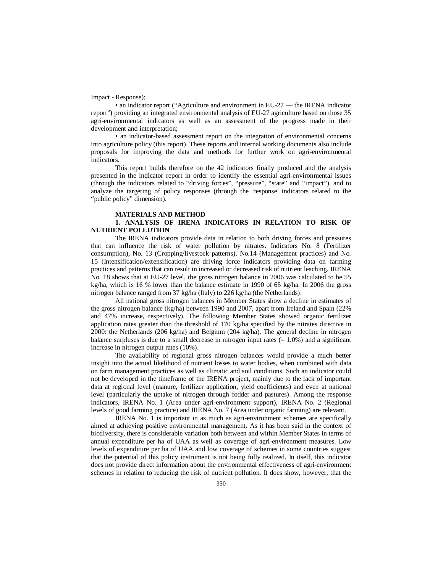Impact - Response);

• an indicator report ("Agriculture and environment in EU-27 — the IRENA indicator report") providing an integrated environmental analysis of EU-27 agriculture based on those 35 agri-environmental indicators as well as an assessment of the progress made in their development and interpretation;

• an indicator-based assessment report on the integration of environmental concerns into agriculture policy (this report). These reports and internal working documents also include proposals for improving the data and methods for further work on agri-environmental indicators.

This report builds therefore on the 42 indicators finally produced and the analysis presented in the indicator report in order to identify the essential agri-environmental issues (through the indicators related to "driving forces", "pressure", "state" and "impact"), and to analyze the targeting of policy responses (through the 'response' indicators related to the "public policy" dimension).

### **MATERIALS AND METHOD**

### **1. ANALYSIS OF IRENA INDICATORS IN RELATION TO RISK OF NUTRIENT POLLUTION**

The IRENA indicators provide data in relation to both driving forces and pressures that can influence the risk of water pollution by nitrates. Indicators No. 8 (Fertilizer consumption), No. 13 (Cropping/livestock patterns), No.14 (Management practices) and No. 15 (Intensification/extensification) are driving force indicators providing data on farming practices and patterns that can result in increased or decreased risk of nutrient leaching. IRENA No. 18 shows that at EU-27 level, the gross nitrogen balance in 2006 was calculated to be 55 kg/ha, which is 16 % lower than the balance estimate in 1990 of 65 kg/ha. In 2006 the gross nitrogen balance ranged from 37 kg/ha (Italy) to 226 kg/ha (the Netherlands).

All national gross nitrogen balances in Member States show a decline in estimates of the gross nitrogen balance (kg/ha) between 1990 and 2007, apart from Ireland and Spain (22% and 47% increase, respectively). The following Member States showed organic fertilizer application rates greater than the threshold of 170 kg/ha specified by the nitrates directive in 2000: the Netherlands (206 kg/ha) and Belgium (204 kg/ha). The general decline in nitrogen balance surpluses is due to a small decrease in nitrogen input rates  $(-1.0\%)$  and a significant increase in nitrogen output rates (10%).

The availability of regional gross nitrogen balances would provide a much better insight into the actual likelihood of nutrient losses to water bodies, when combined with data on farm management practices as well as climatic and soil conditions. Such an indicator could not be developed in the timeframe of the IRENA project, mainly due to the lack of important data at regional level (manure, fertilizer application, yield coefficients) and even at national level (particularly the uptake of nitrogen through fodder and pastures). Among the response indicators, IRENA No. 1 (Area under agri-environment support), IRENA No. 2 (Regional levels of good farming practice) and IRENA No. 7 (Area under organic farming) are relevant.

IRENA No. 1 is important in as much as agri-environment schemes are specifically aimed at achieving positive environmental management. As it has been said in the context of biodiversity, there is considerable variation both between and within Member States in terms of annual expenditure per ha of UAA as well as coverage of agri-environment measures. Low levels of expenditure per ha of UAA and low coverage of schemes in some countries suggest that the potential of this policy instrument is not being fully realized. In itself, this indicator does not provide direct information about the environmental effectiveness of agri-environment schemes in relation to reducing the risk of nutrient pollution. It does show, however, that the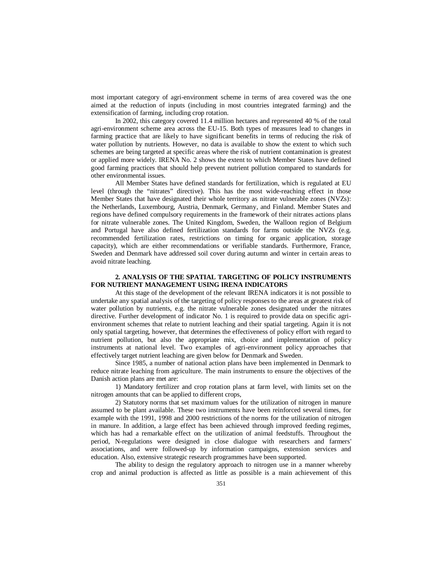most important category of agri-environment scheme in terms of area covered was the one aimed at the reduction of inputs (including in most countries integrated farming) and the extensification of farming, including crop rotation.

In 2002, this category covered 11.4 million hectares and represented 40 % of the total agri-environment scheme area across the EU-15. Both types of measures lead to changes in farming practice that are likely to have significant benefits in terms of reducing the risk of water pollution by nutrients. However, no data is available to show the extent to which such schemes are being targeted at specific areas where the risk of nutrient contamination is greatest or applied more widely. IRENA No. 2 shows the extent to which Member States have defined good farming practices that should help prevent nutrient pollution compared to standards for other environmental issues.

All Member States have defined standards for fertilization, which is regulated at EU level (through the "nitrates" directive). This has the most wide-reaching effect in those Member States that have designated their whole territory as nitrate vulnerable zones (NVZs): the Netherlands, Luxembourg, Austria, Denmark, Germany, and Finland. Member States and regions have defined compulsory requirements in the framework of their nitrates actions plans for nitrate vulnerable zones. The United Kingdom, Sweden, the Walloon region of Belgium and Portugal have also defined fertilization standards for farms outside the NVZs (e.g. recommended fertilization rates, restrictions on timing for organic application, storage capacity), which are either recommendations or verifiable standards. Furthermore, France, Sweden and Denmark have addressed soil cover during autumn and winter in certain areas to avoid nitrate leaching.

### **2. ANALYSIS OF THE SPATIAL TARGETING OF POLICY INSTRUMENTS FOR NUTRIENT MANAGEMENT USING IRENA INDICATORS**

At this stage of the development of the relevant IRENA indicators it is not possible to undertake any spatial analysis of the targeting of policy responses to the areas at greatest risk of water pollution by nutrients, e.g. the nitrate vulnerable zones designated under the nitrates directive. Further development of indicator No. 1 is required to provide data on specific agrienvironment schemes that relate to nutrient leaching and their spatial targeting. Again it is not only spatial targeting, however, that determines the effectiveness of policy effort with regard to nutrient pollution, but also the appropriate mix, choice and implementation of policy instruments at national level. Two examples of agri-environment policy approaches that effectively target nutrient leaching are given below for Denmark and Sweden.

Since 1985, a number of national action plans have been implemented in Denmark to reduce nitrate leaching from agriculture. The main instruments to ensure the objectives of the Danish action plans are met are:

1) Mandatory fertilizer and crop rotation plans at farm level, with limits set on the nitrogen amounts that can be applied to different crops,

2) Statutory norms that set maximum values for the utilization of nitrogen in manure assumed to be plant available. These two instruments have been reinforced several times, for example with the 1991, 1998 and 2000 restrictions of the norms for the utilization of nitrogen in manure. In addition, a large effect has been achieved through improved feeding regimes, which has had a remarkable effect on the utilization of animal feedstuffs. Throughout the period, N-regulations were designed in close dialogue with researchers and farmers' associations, and were followed-up by information campaigns, extension services and education. Also, extensive strategic research programmes have been supported.

The ability to design the regulatory approach to nitrogen use in a manner whereby crop and animal production is affected as little as possible is a main achievement of this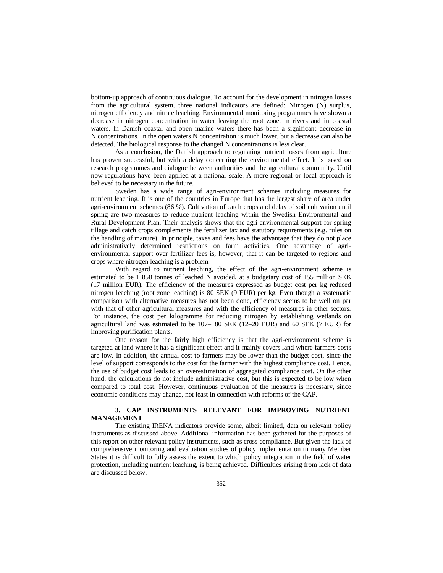bottom-up approach of continuous dialogue. To account for the development in nitrogen losses from the agricultural system, three national indicators are defined: Nitrogen (N) surplus, nitrogen efficiency and nitrate leaching. Environmental monitoring programmes have shown a decrease in nitrogen concentration in water leaving the root zone, in rivers and in coastal waters. In Danish coastal and open marine waters there has been a significant decrease in N concentrations. In the open waters N concentration is much lower, but a decrease can also be detected. The biological response to the changed N concentrations is less clear.

As a conclusion, the Danish approach to regulating nutrient losses from agriculture has proven successful, but with a delay concerning the environmental effect. It is based on research programmes and dialogue between authorities and the agricultural community. Until now regulations have been applied at a national scale. A more regional or local approach is believed to be necessary in the future.

Sweden has a wide range of agri-environment schemes including measures for nutrient leaching. It is one of the countries in Europe that has the largest share of area under agri-environment schemes (86 %). Cultivation of catch crops and delay of soil cultivation until spring are two measures to reduce nutrient leaching within the Swedish Environmental and Rural Development Plan. Their analysis shows that the agri-environmental support for spring tillage and catch crops complements the fertilizer tax and statutory requirements (e.g. rules on the handling of manure). In principle, taxes and fees have the advantage that they do not place administratively determined restrictions on farm activities. One advantage of agrienvironmental support over fertilizer fees is, however, that it can be targeted to regions and crops where nitrogen leaching is a problem.

With regard to nutrient leaching, the effect of the agri-environment scheme is estimated to be 1 850 tonnes of leached N avoided, at a budgetary cost of 155 million SEK (17 million EUR). The efficiency of the measures expressed as budget cost per kg reduced nitrogen leaching (root zone leaching) is 80 SEK (9 EUR) per kg. Even though a systematic comparison with alternative measures has not been done, efficiency seems to be well on par with that of other agricultural measures and with the efficiency of measures in other sectors. For instance, the cost per kilogramme for reducing nitrogen by establishing wetlands on agricultural land was estimated to be 107–180 SEK (12–20 EUR) and 60 SEK (7 EUR) for improving purification plants.

One reason for the fairly high efficiency is that the agri-environment scheme is targeted at land where it has a significant effect and it mainly covers land where farmers costs are low. In addition, the annual cost to farmers may be lower than the budget cost, since the level of support corresponds to the cost for the farmer with the highest compliance cost. Hence, the use of budget cost leads to an overestimation of aggregated compliance cost. On the other hand, the calculations do not include administrative cost, but this is expected to be low when compared to total cost. However, continuous evaluation of the measures is necessary, since economic conditions may change, not least in connection with reforms of the CAP.

# **3. CAP INSTRUMENTS RELEVANT FOR IMPROVING NUTRIENT MANAGEMENT**

The existing IRENA indicators provide some, albeit limited, data on relevant policy instruments as discussed above. Additional information has been gathered for the purposes of this report on other relevant policy instruments, such as cross compliance. But given the lack of comprehensive monitoring and evaluation studies of policy implementation in many Member States it is difficult to fully assess the extent to which policy integration in the field of water protection, including nutrient leaching, is being achieved. Difficulties arising from lack of data are discussed below.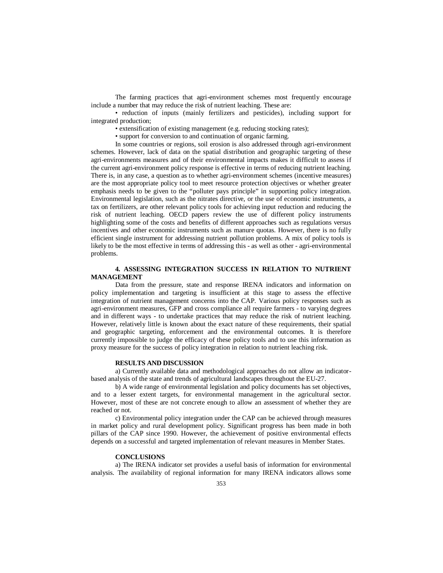The farming practices that agri-environment schemes most frequently encourage include a number that may reduce the risk of nutrient leaching. These are:

• reduction of inputs (mainly fertilizers and pesticides), including support for integrated production;

• extensification of existing management (e.g. reducing stocking rates);

• support for conversion to and continuation of organic farming.

In some countries or regions, soil erosion is also addressed through agri-environment schemes. However, lack of data on the spatial distribution and geographic targeting of these agri-environments measures and of their environmental impacts makes it difficult to assess if the current agri-environment policy response is effective in terms of reducing nutrient leaching. There is, in any case, a question as to whether agri-environment schemes (incentive measures) are the most appropriate policy tool to meet resource protection objectives or whether greater emphasis needs to be given to the "polluter pays principle" in supporting policy integration. Environmental legislation, such as the nitrates directive, or the use of economic instruments, a tax on fertilizers, are other relevant policy tools for achieving input reduction and reducing the risk of nutrient leaching. OECD papers review the use of different policy instruments highlighting some of the costs and benefits of different approaches such as regulations versus incentives and other economic instruments such as manure quotas. However, there is no fully efficient single instrument for addressing nutrient pollution problems. A mix of policy tools is likely to be the most effective in terms of addressing this - as well as other - agri-environmental problems.

## **4. ASSESSING INTEGRATION SUCCESS IN RELATION TO NUTRIENT MANAGEMENT**

Data from the pressure, state and response IRENA indicators and information on policy implementation and targeting is insufficient at this stage to assess the effective integration of nutrient management concerns into the CAP. Various policy responses such as agri-environment measures, GFP and cross compliance all require farmers - to varying degrees and in different ways - to undertake practices that may reduce the risk of nutrient leaching. However, relatively little is known about the exact nature of these requirements, their spatial and geographic targeting, enforcement and the environmental outcomes. It is therefore currently impossible to judge the efficacy of these policy tools and to use this information as proxy measure for the success of policy integration in relation to nutrient leaching risk.

#### **RESULTS AND DISCUSSION**

a) Currently available data and methodological approaches do not allow an indicatorbased analysis of the state and trends of agricultural landscapes throughout the EU-27.

b) A wide range of environmental legislation and policy documents has set objectives, and to a lesser extent targets, for environmental management in the agricultural sector. However, most of these are not concrete enough to allow an assessment of whether they are reached or not.

c) Environmental policy integration under the CAP can be achieved through measures in market policy and rural development policy. Significant progress has been made in both pillars of the CAP since 1990. However, the achievement of positive environmental effects depends on a successful and targeted implementation of relevant measures in Member States.

#### **CONCLUSIONS**

a) The IRENA indicator set provides a useful basis of information for environmental analysis. The availability of regional information for many IRENA indicators allows some